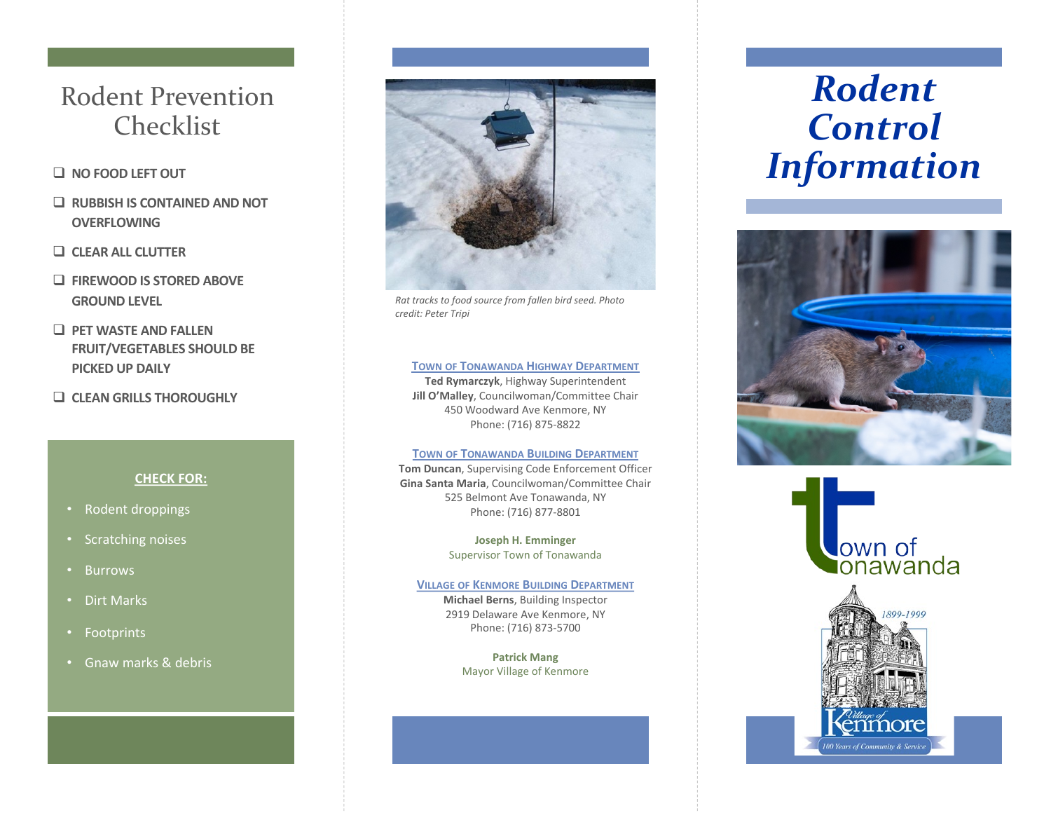# Rodent Prevention Checklist

# q **NO FOOD LEFT OUT**

- q **RUBBISH IS CONTAINED AND NOT OVERFLOWING**
- q **CLEAR ALL CLUTTER**
- q **FIREWOOD IS STORED ABOVE GROUND LEVEL**
- **Q PET WASTE AND FALLEN FRUIT/VEGETABLES SHOULD BE PICKED UP DAILY**
- q **CLEAN GRILLS THOROUGHLY**

# **CHECK FOR:**

- Rodent droppings
- Scratching noises
- Burrows
- Dirt Marks
- Footprints
- Gnaw marks & debris



*Rat tracks to food source from fallen bird seed. Photo credit: Peter Tripi*

## **TOWN OF TONAWANDA HIGHWAY DEPARTMENT**

**Ted Rymarczyk**, Highway Superintendent **Jill O'Malley**, Councilwoman/Committee Chair 450 Woodward Ave Kenmore, NY Phone: (716) 875-8822

### **TOWN OF TONAWANDA BUILDING DEPARTMENT**

**Tom Duncan**, Supervising Code Enforcement Officer **Gina Santa Maria**, Councilwoman/Committee Chair 525 Belmont Ave Tonawanda, NY Phone: (716) 877-8801

> **Joseph H. Emminger** Supervisor Town of Tonawanda

### **VILLAGE OF KENMORE BUILDING DEPARTMENT**

**Michael Berns**, Building Inspector 2919 Delaware Ave Kenmore, NY Phone: (716) 873-5700

> **Patrick Mang** Mayor Village of Kenmore

# *Rodent Control Information*